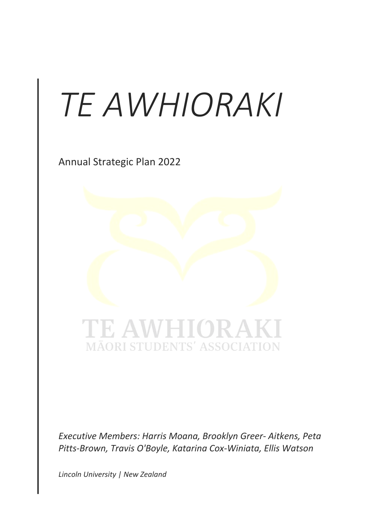# *TE AWHIORAKI*

Annual Strategic Plan 2022



*Executive Members: Harris Moana, Brooklyn Greer- Aitkens, Peta Pitts-Brown, Travis O'Boyle, Katarina Cox-Winiata, Ellis Watson*

*Lincoln University | New Zealand*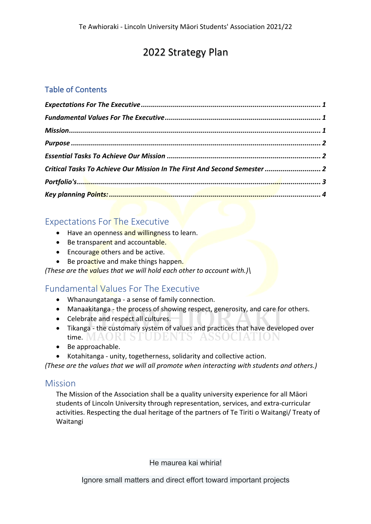# 2022 Strategy Plan

# Table of Contents

| Critical Tasks To Achieve Our Mission In The First And Second Semester  2 |  |
|---------------------------------------------------------------------------|--|
|                                                                           |  |
|                                                                           |  |

# Expectations For The Executive

- Have an openness and willingness to learn.
- Be transparent and accountable.
- Encourage others and be active.
- Be proactive and make things happen.

*(These are the values that we will hold each other to account with.)\*

# Fundamental Values For The Executive

- Whanaungatanga a sense of family connection.
- Manaakitanga  $<sub>1</sub>$  the process of showing respect, generosity, and care for others.</sub>
- Celebrate and respect all cultures.
- Tikanga the customary system of values and practices that have developed over time. MAORI STUDENTS' ASSOCIATION
- Be approachable.
- Kotahitanga unity, togetherness, solidarity and collective action.

*(These are the values that we will all promote when interacting with students and others.)*

### Mission

The Mission of the Association shall be a quality university experience for all Māori students of Lincoln University through representation, services, and extra-curricular activities. Respecting the dual heritage of the partners of Te Tiriti o Waitangi/ Treaty of Waitangi

He maurea kai whiria!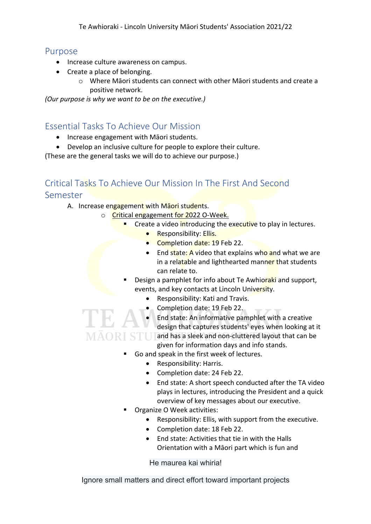#### Purpose

- Increase culture awareness on campus.
- Create a place of belonging.
	- $\circ$  Where Māori students can connect with other Māori students and create a positive network.

*(Our purpose is why we want to be on the executive.)* 

# Essential Tasks To Achieve Our Mission

- Increase engagement with Māori students.
- Develop an inclusive culture for people to explore their culture.

(These are the general tasks we will do to achieve our purpose.)

# Critical Tasks To Achieve Our Mission In The First And Second Semester

- A. Increase engagement with Maori students.
	- o Critical engagement for 2022 O-Week.
		- Create a video introducing the executive to play in lectures.
			- **Responsibility: Ellis.**
			- Completion date: 19 Feb 22.
			- End state: A video that explains who and what we are in a relatable and lighthearted manner that students can relate to.
		- Design a pamphlet for info about Te Awhioraki and support, events, and key contacts at Lincoln University.
			- Responsibility: Kati and Travis.
			- Completion date: 19 Feb 22.
	- End state: An informative pamphlet with a creative design that captures students' eyes when looking at it MAORI STUI and has a sleek and non-cluttered layout that can be given for information days and info stands.
		- Go and speak in the first week of lectures.
			- Responsibility: Harris.
			- Completion date: 24 Feb 22.
			- End state: A short speech conducted after the TA video plays in lectures, introducing the President and a quick overview of key messages about our executive.
		- § Organize O Week activities:
			- Responsibility: Ellis, with support from the executive.
			- Completion date: 18 Feb 22.
			- End state: Activities that tie in with the Halls Orientation with a Māori part which is fun and

He maurea kai whiria!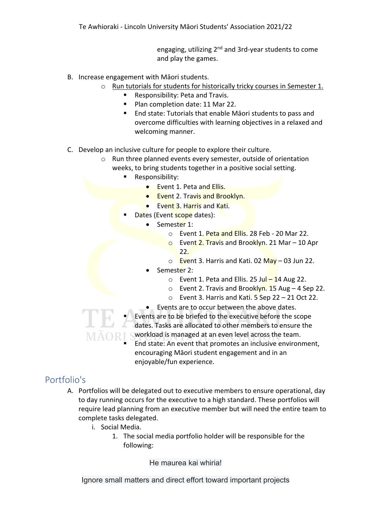engaging, utilizing 2<sup>nd</sup> and 3rd-year students to come and play the games.

- B. Increase engagement with Māori students.
	- o Run tutorials for students for historically tricky courses in Semester 1.
		- § Responsibility: Peta and Travis.
		- Plan completion date: 11 Mar 22.
		- End state: Tutorials that enable Māori students to pass and overcome difficulties with learning objectives in a relaxed and welcoming manner.
- C. Develop an inclusive culture for people to explore their culture.
	- o Run three planned events every semester, outside of orientation weeks, to bring students together in a positive social setting.
		- Responsibility:
			- **•** Event 1. Peta and Ellis.
			- **Event 2. Travis and Brooklyn.**
			- Event 3. Harris and Kati.
		- Dates (Event scope dates):
			- Semester 1:
				- o Event 1. Peta and Ellis. 28 Feb 20 Mar 22.
				- o Event 2. Travis and Brooklyn. 21 Mar 10 Apr 22.
				- $\circ$  Event 3. Harris and Kati. 02 May 03 Jun 22.
				- Semester 2:
					- $\circ$  Event 1. Peta and Ellis. 25 Jul 14 Aug 22.
					- o Event 2. Travis and Brooklyn. 15 Aug 4 Sep 22.
					- $\circ$  Event 3. Harris and Kati. 5 Sep 22 21 Oct 22.
				- Events are to occur between the above dates.
		- Events are to be briefed to the executive before the scope dates. Tasks are allocated to other members to ensure the workload is managed at an even level across the team.
			- End state: An event that promotes an inclusive environment, encouraging Māori student engagement and in an enjoyable/fun experience.

# Portfolio's

- A. Portfolios will be delegated out to executive members to ensure operational, day to day running occurs for the executive to a high standard. These portfolios will require lead planning from an executive member but will need the entire team to complete tasks delegated.
	- i. Social Media.
		- 1. The social media portfolio holder will be responsible for the following:

He maurea kai whiria!